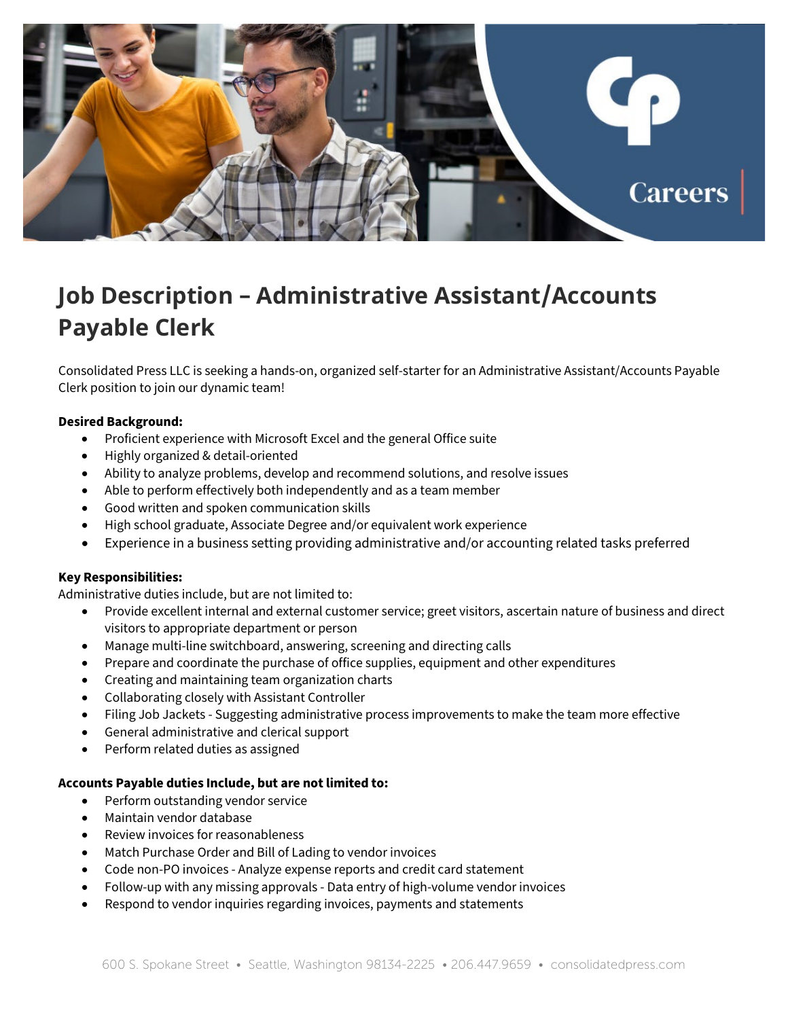

# **Job Description – Administrative Assistant/Accounts Payable Clerk**

Consolidated Press LLC is seeking a hands-on, organized self-starter for an Administrative Assistant/Accounts Payable Clerk position to join our dynamic team!

## **Desired Background:**

- Proficient experience with Microsoft Excel and the general Office suite
- Highly organized & detail-oriented
- Ability to analyze problems, develop and recommend solutions, and resolve issues
- Able to perform effectively both independently and as a team member
- Good written and spoken communication skills
- High school graduate, Associate Degree and/or equivalent work experience
- Experience in a business setting providing administrative and/or accounting related tasks preferred

## **Key Responsibilities:**

Administrative duties include, but are not limited to:

- Provide excellent internal and external customer service; greet visitors, ascertain nature of business and direct visitors to appropriate department or person
- Manage multi-line switchboard, answering, screening and directing calls
- Prepare and coordinate the purchase of office supplies, equipment and other expenditures
- Creating and maintaining team organization charts
- Collaborating closely with Assistant Controller
- Filing Job Jackets Suggesting administrative process improvements to make the team more effective
- General administrative and clerical support
- Perform related duties as assigned

## **Accounts Payable duties Include, but are not limited to:**

- Perform outstanding vendor service
- Maintain vendor database
- Review invoices for reasonableness
- Match Purchase Order and Bill of Lading to vendor invoices
- Code non-PO invoices Analyze expense reports and credit card statement
- Follow-up with any missing approvals Data entry of high-volume vendor invoices
- Respond to vendor inquiries regarding invoices, payments and statements